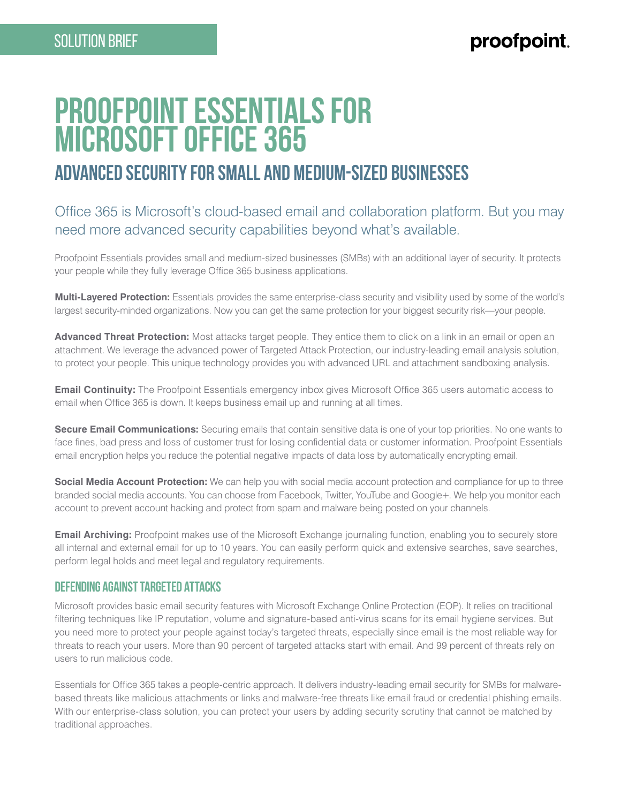# **Proofpoint Essentials for Microsoft Office 365 advanced security for Small and Medium-Sized Businesses**

## Office 365 is Microsoft's cloud-based email and collaboration platform. But you may need more advanced security capabilities beyond what's available.

Proofpoint Essentials provides small and medium-sized businesses (SMBs) with an additional layer of security. It protects your people while they fully leverage Office 365 business applications.

**Multi-Layered Protection:** Essentials provides the same enterprise-class security and visibility used by some of the world's largest security-minded organizations. Now you can get the same protection for your biggest security risk—your people.

**Advanced Threat Protection:** Most attacks target people. They entice them to click on a link in an email or open an attachment. We leverage the advanced power of Targeted Attack Protection, our industry-leading email analysis solution, to protect your people. This unique technology provides you with advanced URL and attachment sandboxing analysis.

**Email Continuity:** The Proofpoint Essentials emergency inbox gives Microsoft Office 365 users automatic access to email when Office 365 is down. It keeps business email up and running at all times.

**Secure Email Communications:** Securing emails that contain sensitive data is one of your top priorities. No one wants to face fines, bad press and loss of customer trust for losing confidential data or customer information. Proofpoint Essentials email encryption helps you reduce the potential negative impacts of data loss by automatically encrypting email.

**Social Media Account Protection:** We can help you with social media account protection and compliance for up to three branded social media accounts. You can choose from Facebook, Twitter, YouTube and Google+. We help you monitor each account to prevent account hacking and protect from spam and malware being posted on your channels.

**Email Archiving:** Proofpoint makes use of the Microsoft Exchange journaling function, enabling you to securely store all internal and external email for up to 10 years. You can easily perform quick and extensive searches, save searches, perform legal holds and meet legal and regulatory requirements.

### **Defending Against Targeted Attacks**

Microsoft provides basic email security features with Microsoft Exchange Online Protection (EOP). It relies on traditional filtering techniques like IP reputation, volume and signature-based anti-virus scans for its email hygiene services. But you need more to protect your people against today's targeted threats, especially since email is the most reliable way for threats to reach your users. More than 90 percent of targeted attacks start with email. And 99 percent of threats rely on users to run malicious code.

Essentials for Office 365 takes a people-centric approach. It delivers industry-leading email security for SMBs for malwarebased threats like malicious attachments or links and malware-free threats like email fraud or credential phishing emails. With our enterprise-class solution, you can protect your users by adding security scrutiny that cannot be matched by traditional approaches.